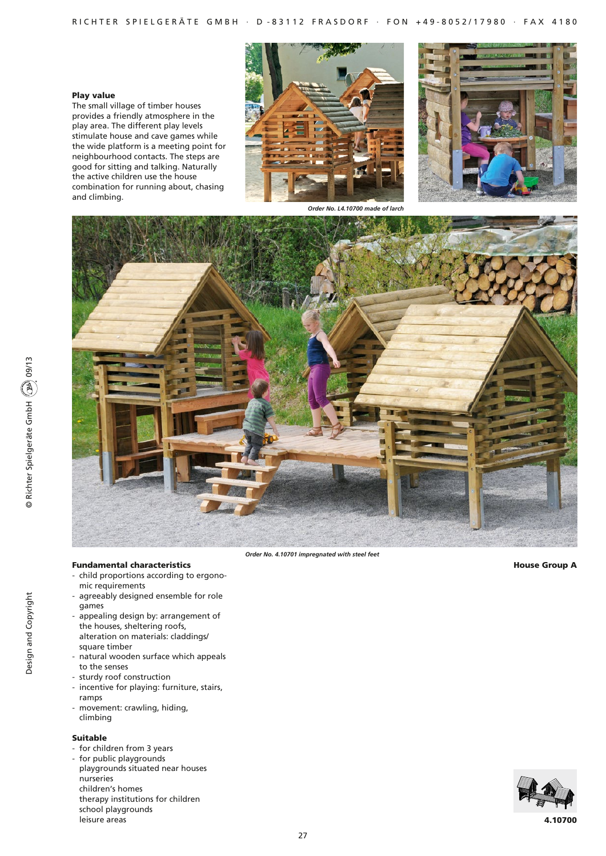# Play value

The small village of timber houses provides a friendly atmosphere in the play area. The different play levels stimulate house and cave games while the wide platform is a meeting point for neighbourhood contacts. The steps are good for sitting and talking. Naturally the active children use the house combination for running about, chasing and climbing.





*Order No. L4.10700 made of larch*



*Order No. 4.10701 impregnated with steel feet*

House Group A

- Fundamental characteristics - child proportions according to ergono
	- mic requirements - agreeably designed ensemble for role
	- games
	- appealing design by: arrangement of the houses, sheltering roofs, alteration on materials: claddings/ square timber
	- natural wooden surface which appeals to the senses
	- sturdy roof construction
	- incentive for playing: furniture, stairs, ramps
	- movement: crawling, hiding, climbing

# Suitable

- for children from 3 years
- for public playgrounds playgrounds situated near houses nurseries children's homes therapy institutions for children school playgrounds leisure areas



© Richter Spielgeräte GmbH (200) 09/13